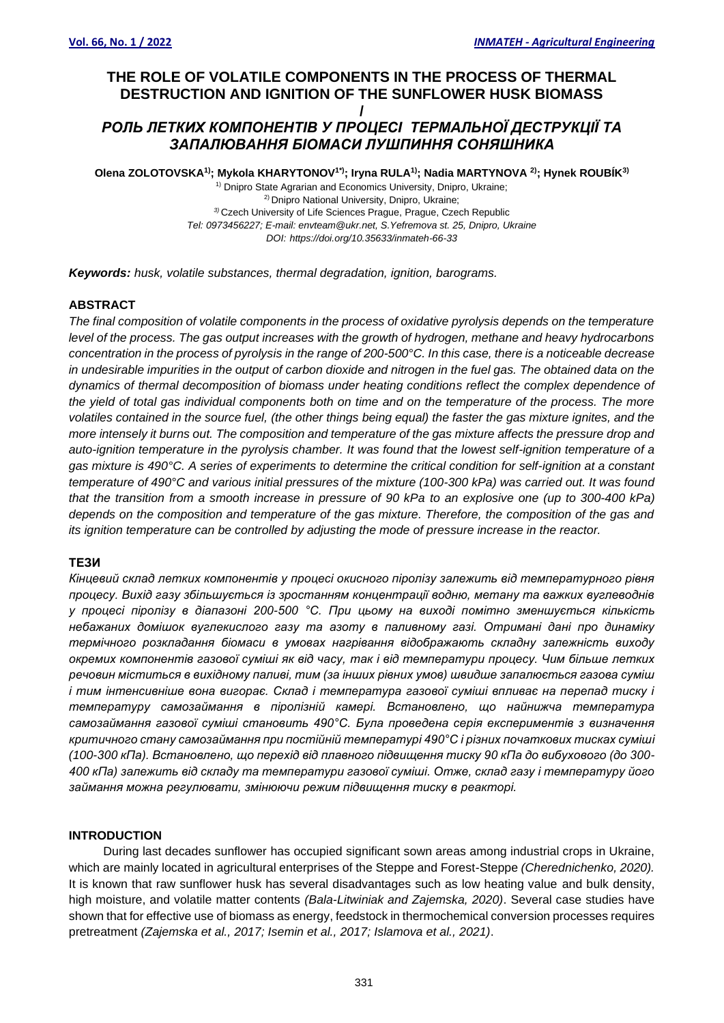# **THE ROLE OF VOLATILE COMPONENTS IN THE PROCESS OF THERMAL DESTRUCTION AND IGNITION OF THE SUNFLOWER HUSK BIOMASS /**

# *РОЛЬ ЛЕТКИХ КОМПОНЕНТІВ У ПРОЦЕСІ ТЕРМАЛЬНОЇ ДЕCТРУКЦІЇ ТА ЗАПАЛЮВАННЯ БІОМАСИ ЛУШПИННЯ СОНЯШНИКА*

**Olena ZOLOTOVSKA1) ; Mykola KHARYTONOV1\*); Iryna RULA1) ; Nadia MARTYNOVA 2) ; Hynek ROUBÍK3)**

<sup>1)</sup> Dnipro State Agrarian and Economics University, Dnipro, Ukraine; 2) Dnipro National University, Dnipro, Ukraine; *3)* Czech University of Life Sciences Prague, Prague, Czech Republic *Tel: 0973456227; E-mail: envteam@ukr.net, S.Yefremova st. 25, Dnipro, Ukraine DOI: https://doi.org/10.35633/inmateh-66-33*

*Keywords: husk, volatile substances, thermal degradation, ignition, barograms.*

## **ABSTRACT**

*The final composition of volatile components in the process of oxidative pyrolysis depends on the temperature level of the process. The gas output increases with the growth of hydrogen, methane and heavy hydrocarbons concentration in the process of pyrolysis in the range of 200-500°C. In this case, there is a noticeable decrease in undesirable impurities in the output of carbon dioxide and nitrogen in the fuel gas. The obtained data on the dynamics of thermal decomposition of biomass under heating conditions reflect the complex dependence of the yield of total gas individual components both on time and on the temperature of the process. The more volatiles contained in the source fuel, (the other things being equal) the faster the gas mixture ignites, and the more intensely it burns out. The composition and temperature of the gas mixture affects the pressure drop and auto-ignition temperature in the pyrolysis chamber. It was found that the lowest self-ignition temperature of a gas mixture is 490°C. A series of experiments to determine the critical condition for self-ignition at a constant temperature of 490°C and various initial pressures of the mixture (100-300 kPa) was carried out. It was found that the transition from a smooth increase in pressure of 90 kPa to an explosive one (up to 300-400 kPa) depends on the composition and temperature of the gas mixture. Therefore, the composition of the gas and its ignition temperature can be controlled by adjusting the mode of pressure increase in the reactor.*

#### **ТЕЗИ**

*Кінцевий склад летких компонентів у процесі окисного піролізу залежить від температурного рівня процесу. Вихід газу збільшується із зростанням концентрації водню, метану та важких вуглеводнів у процесі піролізу в діапазоні 200-500 °С. При цьому на виході помітно зменшується кількість небажаних домішок вуглекислого газу та азоту в паливному газі. Отримані дані про динаміку термічного розкладання біомаси в умовах нагрівання відображають складну залежність виходу окремих компонентів газової суміші як від часу, так і від температури процесу. Чим більше летких речовин міститься в вихідному паливі, тим (за інших рівних умов) швидше запалюється газова суміш і тим інтенсивніше вона вигорає. Склад і температура газової суміші впливає на перепад тиску і температуру самозаймання в піролізній камері. Встановлено, що найнижча температура самозаймання газової суміші становить 490°С. Була проведена серія експериментів з визначення критичного стану самозаймання при постійній температурі 490°С і різних початкових тисках суміші (100-300 кПа). Встановлено, що перехід від плавного підвищення тиску 90 кПа до вибухового (до 300- 400 кПа) залежить від складу та температури газової суміші. Отже, склад газу і температуру його займання можна регулювати, змінюючи режим підвищення тиску в реакторі.*

## **INTRODUCTION**

During last decades sunflower has occupied significant sown areas among industrial crops in Ukraine, which are mainly located in agricultural enterprises of the Steppe and Forest-Steppe *(Cherednichenko, 2020).* It is known that raw sunflower husk has several disadvantages such as low heating value and bulk density, high moisture, and volatile matter contents *(Bala-Litwiniak and Zajemska, 2020)*. Several case studies have shown that for effective use of biomass as energy, feedstock in thermochemical conversion processes requires pretreatment *(Zajemska et al., 2017; Isemin et al., 2017; Islamova et al., 2021)*.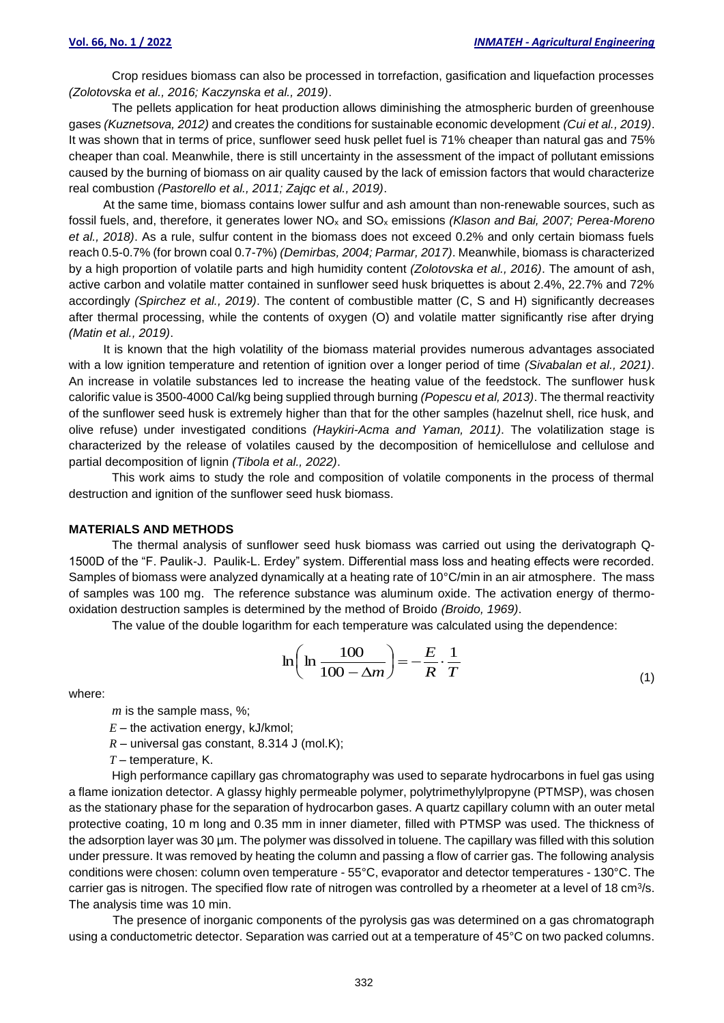Crop residues biomass can also be processed in torrefaction, gasification and liquefaction processes *(Zolotovska et al., 2016; Kaczynska et al., 2019)*.

The pellets application for heat production allows diminishing the atmospheric burden of greenhouse gases *(Kuznetsova, 2012)* and creates the conditions for sustainable economic development *(Cui et al., 2019)*. It was shown that in terms of price, sunflower seed husk pellet fuel is 71% cheaper than natural gas and 75% cheaper than coal. Meanwhile, there is still uncertainty in the assessment of the impact of pollutant emissions caused by the burning of biomass on air quality caused by the lack of emission factors that would characterize real combustion *(Pastorello et al., 2011; Zajqc et al., 2019)*.

At the same time, biomass contains lower sulfur and ash amount than non-renewable sources, such as fossil fuels, and, therefore, it generates lower NO<sup>x</sup> and SO<sup>x</sup> emissions *(Klason and Bai, 2007; Perea-Moreno et al., 2018)*. As a rule, sulfur content in the biomass does not exceed 0.2% and only certain biomass fuels reach 0.5-0.7% (for brown coal 0.7-7%) *(Demirbas, 2004; Parmar, 2017)*. Meanwhile, biomass is characterized by a high proportion of volatile parts and high humidity content *(Zolotovska et al., 2016)*. The amount of ash, active carbon and volatile matter contained in sunflower seed husk briquettes is about 2.4%, 22.7% and 72% accordingly *(Spirchez et al., 2019)*. The content of combustible matter (C, S and H) significantly decreases after thermal processing, while the contents of oxygen (O) and volatile matter significantly rise after drying *(Matin et al., 2019)*.

It is known that the high volatility of the biomass material provides numerous advantages associated with a low ignition temperature and retention of ignition over a longer period of time *(Sivabalan et al., 2021)*. An increase in volatile substances led to increase the heating value of the feedstock. The sunflower husk calorific value is 3500-4000 Cal/kg being supplied through burning *(Popescu et al, 2013)*. The thermal reactivity of the sunflower seed husk is extremely higher than that for the other samples (hazelnut shell, rice husk, and olive refuse) under investigated conditions *(Haykiri-Acma and Yaman, 2011)*. The volatilization stage is characterized by the release of volatiles caused by the decomposition of hemicellulose and cellulose and partial decomposition of lignin *(Tibola et al., 2022)*.

This work aims to study the role and composition of volatile components in the process of thermal destruction and ignition of the sunflower seed husk biomass.

#### **MATERIALS AND METHODS**

The thermal analysis of sunflower seed husk biomass was carried out using the derivatograph Q-1500D of the "F. Paulik-J. Paulik-L. Erdey" system. Differential mass loss and heating effects were recorded. Samples of biomass were analyzed dynamically at a heating rate of 10°C/min in an air atmosphere. The mass of samples was 100 mg. The reference substance was aluminum oxide. The activation energy of thermooxidation destruction samples is determined by the method of Broido *(Broido, 1969)*.

The value of the double logarithm for each temperature was calculated using the dependence:

$$
\ln\left(\ln\frac{100}{100-\Delta m}\right) = -\frac{E}{R} \cdot \frac{1}{T}
$$
\n(1)

where:

*m* is the sample mass, %;

- $E$  the activation energy, kJ/kmol;
- $R$  universal gas constant, 8.314 J (mol.K);
- *T* temperature, K.

High performance capillary gas chromatography was used to separate hydrocarbons in fuel gas using a flame ionization detector. A glassy highly permeable polymer, polytrimethylylpropyne (PTMSP), was chosen as the stationary phase for the separation of hydrocarbon gases. A quartz capillary column with an outer metal protective coating, 10 m long and 0.35 mm in inner diameter, filled with PTMSP was used. The thickness of the adsorption layer was 30 µm. The polymer was dissolved in toluene. The capillary was filled with this solution under pressure. It was removed by heating the column and passing a flow of carrier gas. The following analysis conditions were chosen: column oven temperature - 55°C, evaporator and detector temperatures - 130°C. The carrier gas is nitrogen. The specified flow rate of nitrogen was controlled by a rheometer at a level of 18 cm<sup>3</sup>/s. The analysis time was 10 min.

The presence of inorganic components of the pyrolysis gas was determined on a gas chromatograph using a conductometric detector. Separation was carried out at a temperature of 45°C on two packed columns.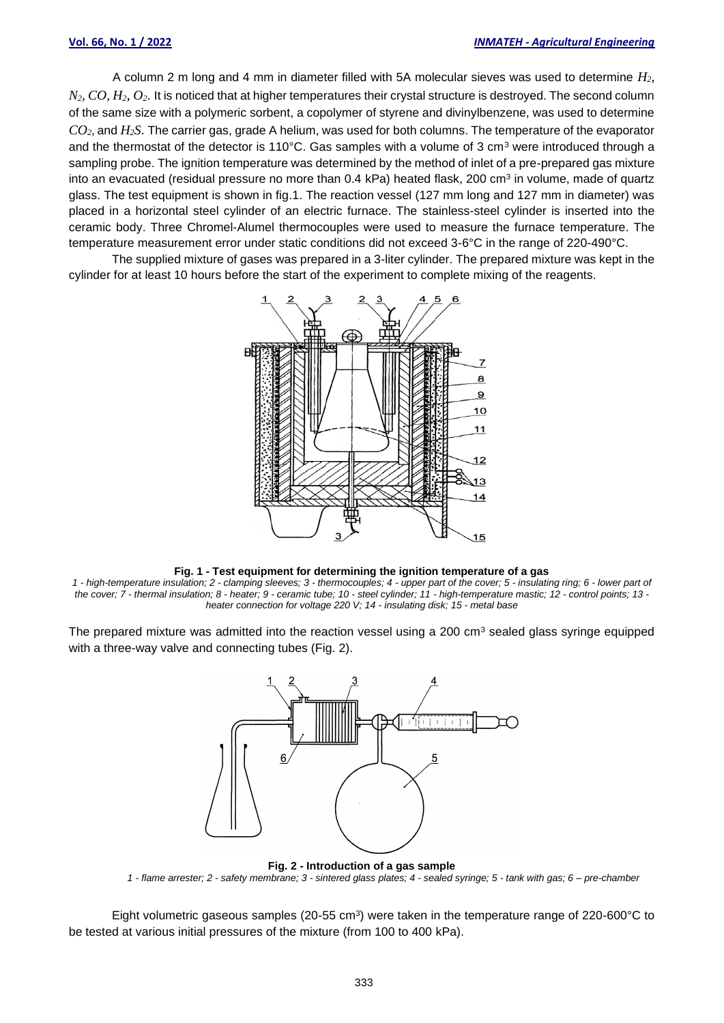A column 2 m long and 4 mm in diameter filled with 5A molecular sieves was used to determine *H2, N2, CO, H2, O2*. It is noticed that at higher temperatures their crystal structure is destroyed. The second column of the same size with a polymeric sorbent, a copolymer of styrene and divinylbenzene, was used to determine *CO2,* and *H2S*. The carrier gas, grade A helium, was used for both columns. The temperature of the evaporator and the thermostat of the detector is 110 $^{\circ}$ C. Gas samples with a volume of 3 cm<sup>3</sup> were introduced through a sampling probe. The ignition temperature was determined by the method of inlet of a pre-prepared gas mixture into an evacuated (residual pressure no more than 0.4 kPa) heated flask, 200 cm<sup>3</sup> in volume, made of quartz glass. The test equipment is shown in fig.1. The reaction vessel (127 mm long and 127 mm in diameter) was placed in a horizontal steel cylinder of an electric furnace. The stainless-steel cylinder is inserted into the ceramic body. Three Chromel-Alumel thermocouples were used to measure the furnace temperature. The temperature measurement error under static conditions did not exceed 3-6°C in the range of 220-490°C.

The supplied mixture of gases was prepared in a 3-liter cylinder. The prepared mixture was kept in the cylinder for at least 10 hours before the start of the experiment to complete mixing of the reagents.



**Fig. 1 - Test equipment for determining the ignition temperature of a gas**

*1 - high-temperature insulation; 2 - clamping sleeves; 3 - thermocouples; 4 - upper part of the cover; 5 - insulating ring; 6 - lower part of the cover; 7 - thermal insulation; 8 - heater; 9 - ceramic tube; 10 - steel cylinder; 11 - high-temperature mastic; 12 - control points; 13 heater connection for voltage 220 V; 14 - insulating disk; 15 - metal base*

The prepared mixture was admitted into the reaction vessel using a 200  $cm<sup>3</sup>$  sealed glass syringe equipped with a three-way valve and connecting tubes (Fig. 2).



**Fig. 2 - Introduction of a gas sample** *1 - flame arrester; 2 - safety membrane; 3 - sintered glass plates; 4 - sealed syringe; 5 - tank with gas; 6 – pre-chamber*

Eight volumetric gaseous samples (20-55 cm<sup>3</sup>) were taken in the temperature range of 220-600°C to be tested at various initial pressures of the mixture (from 100 to 400 kPa).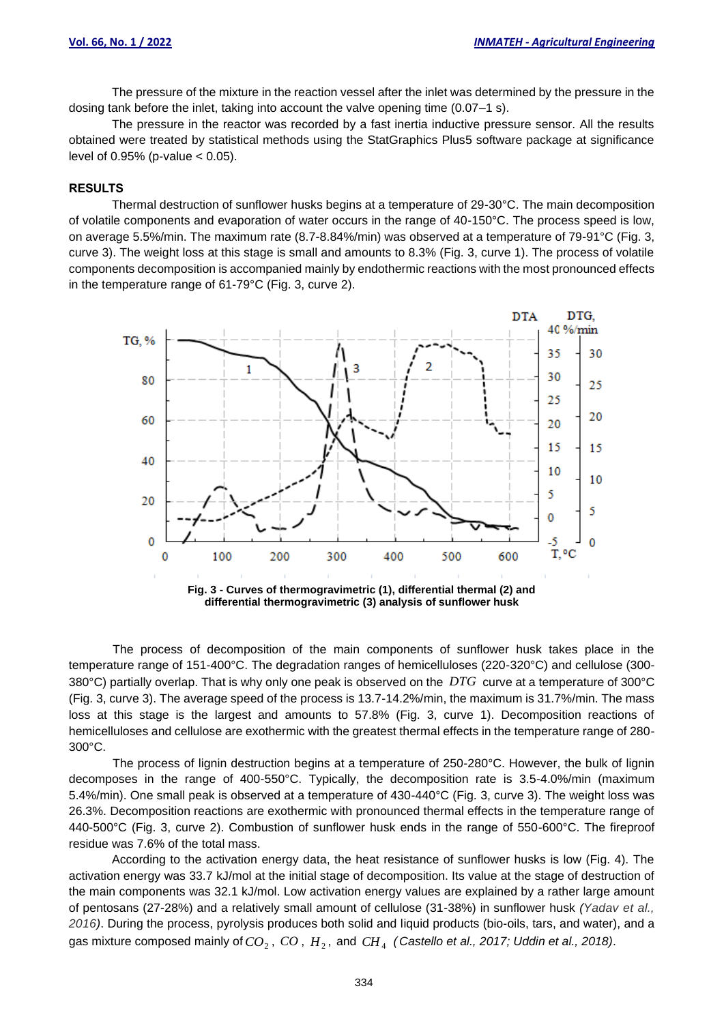The pressure of the mixture in the reaction vessel after the inlet was determined by the pressure in the dosing tank before the inlet, taking into account the valve opening time (0.07–1 s).

The pressure in the reactor was recorded by a fast inertia inductive pressure sensor. All the results obtained were treated by statistical methods using the StatGraphics Plus5 software package at significance level of  $0.95%$  (p-value  $< 0.05$ ).

### **RESULTS**

Thermal destruction of sunflower husks begins at a temperature of 29-30°C. The main decomposition of volatile components and evaporation of water occurs in the range of 40-150°C. The process speed is low, on average 5.5%/min. The maximum rate (8.7-8.84%/min) was observed at a temperature of 79-91°C (Fig. 3, curve 3). The weight loss at this stage is small and amounts to 8.3% (Fig. 3, curve 1). The process of volatile components decomposition is accompanied mainly by endothermic reactions with the most pronounced effects in the temperature range of 61-79°C (Fig. 3, curve 2).



The process of decomposition of the main components of sunflower husk takes place in the temperature range of 151-400°C. The degradation ranges of hemicelluloses (220-320°C) and cellulose (300- 380°C) partially overlap. That is why only one peak is observed on the *DTG* curve at a temperature of 300°C (Fig. 3, curve 3). The average speed of the process is 13.7-14.2%/min, the maximum is 31.7%/min. The mass loss at this stage is the largest and amounts to 57.8% (Fig. 3, curve 1). Decomposition reactions of hemicelluloses and cellulose are exothermic with the greatest thermal effects in the temperature range of 280- 300°C.

The process of lignin destruction begins at a temperature of 250-280°C. However, the bulk of lignin decomposes in the range of 400-550°C. Typically, the decomposition rate is 3.5-4.0%/min (maximum 5.4%/min). One small peak is observed at a temperature of 430-440°C (Fig. 3, curve 3). The weight loss was 26.3%. Decomposition reactions are exothermic with pronounced thermal effects in the temperature range of 440-500°C (Fig. 3, curve 2). Combustion of sunflower husk ends in the range of 550-600°C. The fireproof residue was 7.6% of the total mass.

According to the activation energy data, the heat resistance of sunflower husks is low (Fig. 4). The activation energy was 33.7 kJ/mol at the initial stage of decomposition. Its value at the stage of destruction of the main components was 32.1 kJ/mol. Low activation energy values are explained by a rather large amount of pentosans (27-28%) and a relatively small amount of cellulose (31-38%) in sunflower husk *(Yadav et al., 2016)*. During the process, pyrolysis produces both solid and liquid products (bio-oils, tars, and water), and a gas mixture composed mainly of  $CO_2^{}$ ,  $~CO$  ,  $H_2^{}$ , and  $~CH_4^{}$  (Castello et al., 2017; Uddin et al., 2018).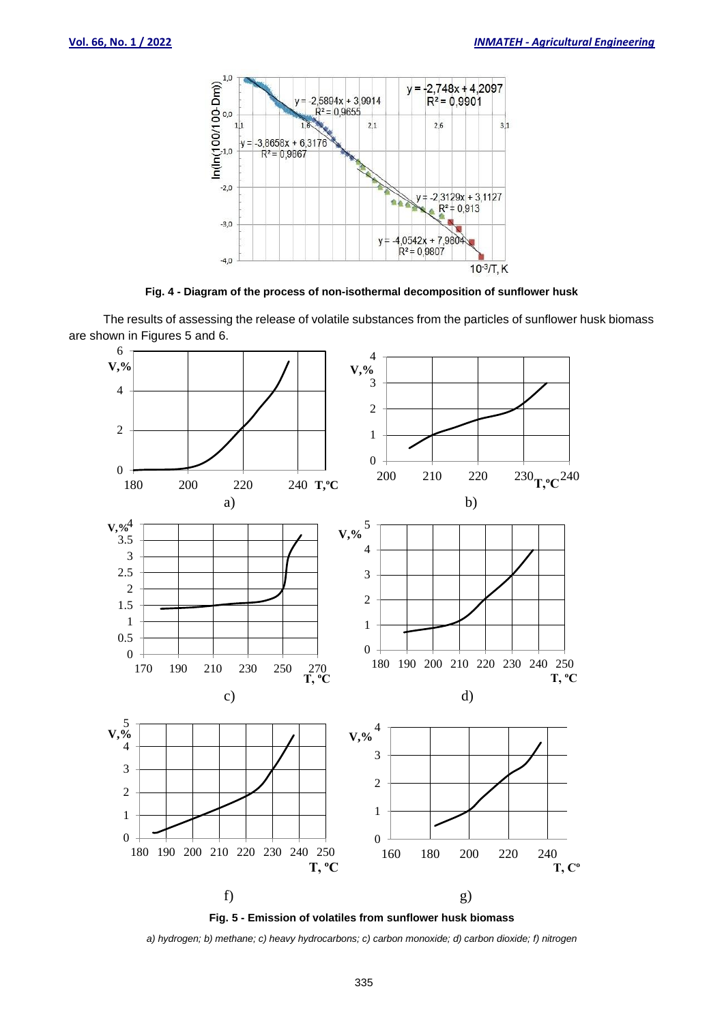



The results of assessing the release of volatile substances from the particles of sunflower husk biomass are shown in Figures 5 and 6.





*a) hydrogen; b) methane; c) heavy hydrocarbons; c) carbon monoxide; d) carbon dioxide; f) nitrogen*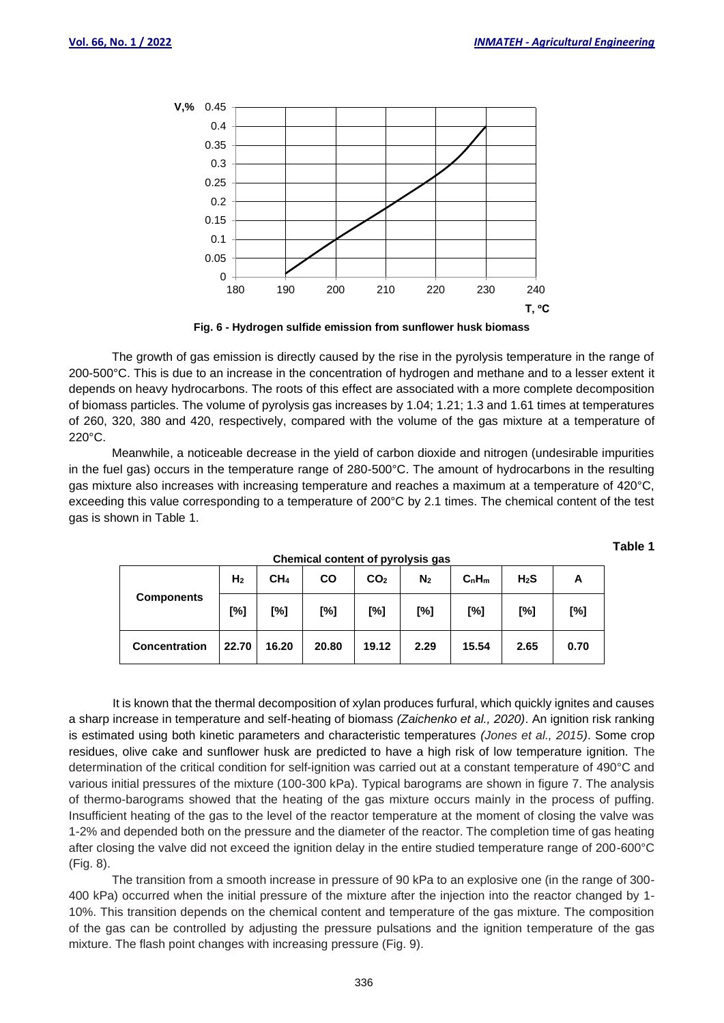**Table 1**



**Fig. 6 - Hydrogen sulfide emission from sunflower husk biomass**

The growth of gas emission is directly caused by the rise in the pyrolysis temperature in the range of 200-500°C. This is due to an increase in the concentration of hydrogen and methane and to a lesser extent it depends on heavy hydrocarbons. The roots of this effect are associated with a more complete decomposition of biomass particles. The volume of pyrolysis gas increases by 1.04; 1.21; 1.3 and 1.61 times at temperatures of 260, 320, 380 and 420, respectively, compared with the volume of the gas mixture at a temperature of 220°C.

Meanwhile, a noticeable decrease in the yield of carbon dioxide and nitrogen (undesirable impurities in the fuel gas) occurs in the temperature range of 280-500°C. The amount of hydrocarbons in the resulting gas mixture also increases with increasing temperature and reaches a maximum at a temperature of 420°C, exceeding this value corresponding to a temperature of 200°C by 2.1 times. The chemical content of the test gas is shown in Table 1.

| <b>Components</b>    | H <sub>2</sub> | CH <sub>4</sub> | <b>CO</b> | CO <sub>2</sub> | N <sub>2</sub> | $C_nH_m$ | $H_2S$ | A    |
|----------------------|----------------|-----------------|-----------|-----------------|----------------|----------|--------|------|
|                      | [%]            | [%]             | [%]       | [%]             | [%]            | [%]      | [%]    | [%]  |
| <b>Concentration</b> | 22.70          | 16.20           | 20.80     | 19.12           | 2.29           | 15.54    | 2.65   | 0.70 |

**Chemical content of pyrolysis gas**

It is known that the thermal decomposition of xylan produces furfural, which quickly ignites and causes a sharp increase in temperature and self-heating of biomass *(Zaichenko et al., 2020)*. An ignition risk ranking is estimated using both kinetic parameters and characteristic temperatures *(Jones et al., 2015)*. Some crop residues, olive cake and sunflower husk are predicted to have a high risk of low temperature ignition. The determination of the critical condition for self-ignition was carried out at a constant temperature of 490°C and various initial pressures of the mixture (100-300 kPa). Typical barograms are shown in figure 7. The analysis of thermo-barograms showed that the heating of the gas mixture occurs mainly in the process of puffing. Insufficient heating of the gas to the level of the reactor temperature at the moment of closing the valve was 1-2% and depended both on the pressure and the diameter of the reactor. The completion time of gas heating after closing the valve did not exceed the ignition delay in the entire studied temperature range of 200-600°C (Fig. 8).

The transition from a smooth increase in pressure of 90 kPa to an explosive one (in the range of 300- 400 kPa) occurred when the initial pressure of the mixture after the injection into the reactor changed by 1- 10%. This transition depends on the chemical content and temperature of the gas mixture. The composition of the gas can be controlled by adjusting the pressure pulsations and the ignition temperature of the gas mixture. The flash point changes with increasing pressure (Fig. 9).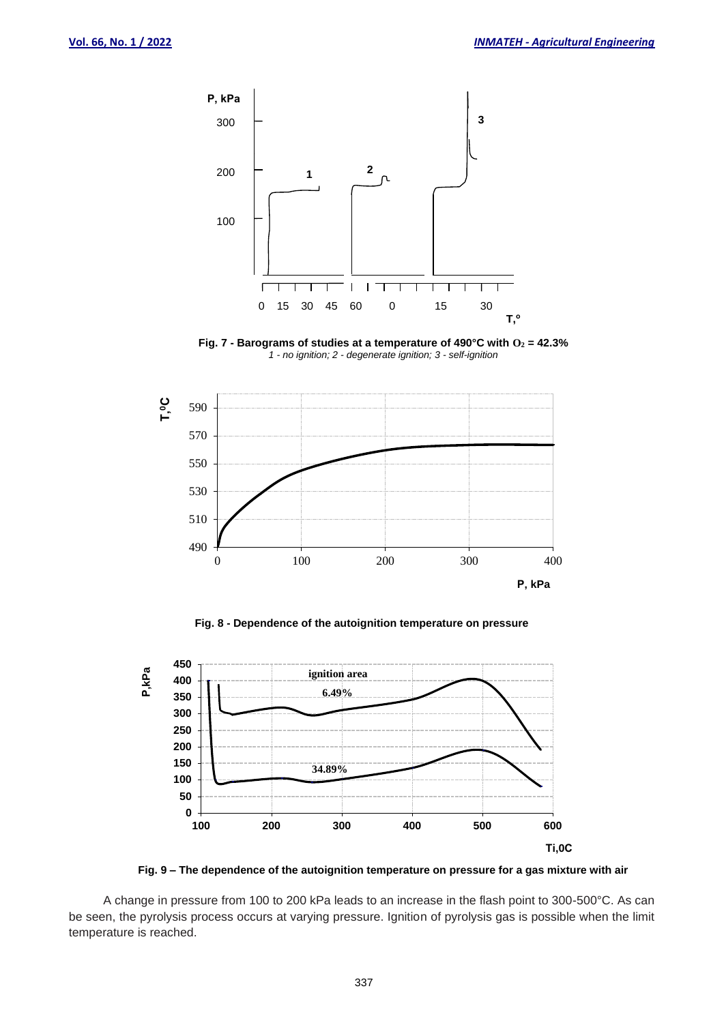

**Fig. 7 - Barograms of studies at a temperature of 490°C with O<sup>2</sup> = 42.3%** *- no ignition; 2 - degenerate ignition; 3 - self-ignition*



**Fig. 8 - Dependence of the autoignition temperature on pressure**





A change in pressure from 100 to 200 kPa leads to an increase in the flash point to 300-500°C. As can be seen, the pyrolysis process occurs at varying pressure. Ignition of pyrolysis gas is possible when the limit temperature is reached.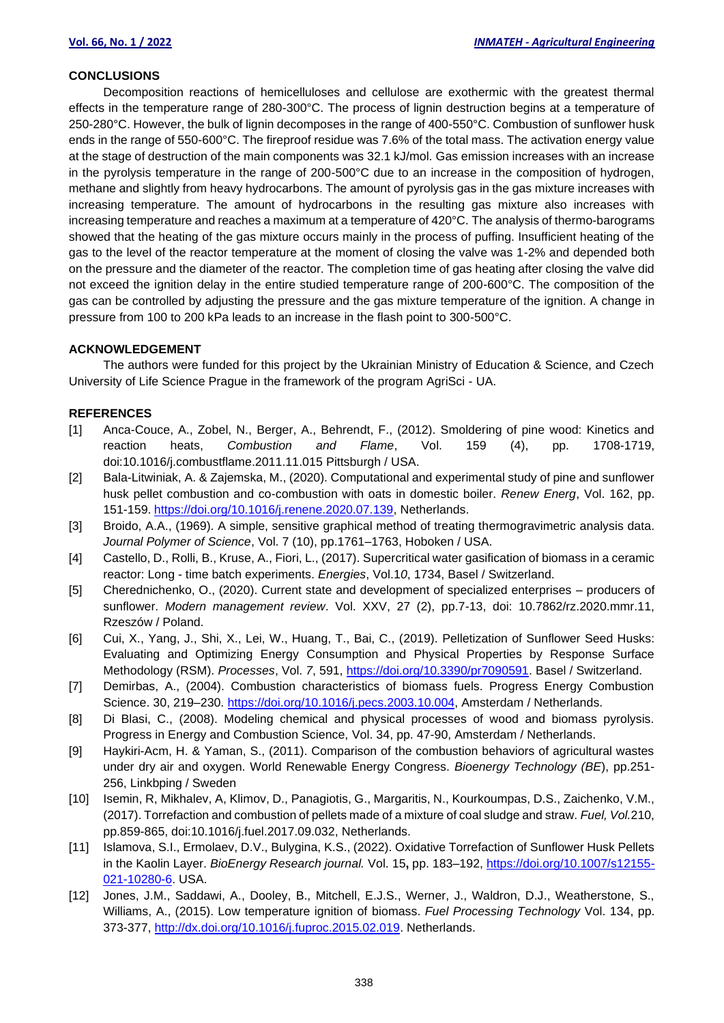#### **CONCLUSIONS**

Decomposition reactions of hemicelluloses and cellulose are exothermic with the greatest thermal effects in the temperature range of 280-300°C. The process of lignin destruction begins at a temperature of 250-280°C. However, the bulk of lignin decomposes in the range of 400-550°C. Combustion of sunflower husk ends in the range of 550-600°C. The fireproof residue was 7.6% of the total mass. The activation energy value at the stage of destruction of the main components was 32.1 kJ/mol. Gas emission increases with an increase in the pyrolysis temperature in the range of 200-500°C due to an increase in the composition of hydrogen, methane and slightly from heavy hydrocarbons. The amount of pyrolysis gas in the gas mixture increases with increasing temperature. The amount of hydrocarbons in the resulting gas mixture also increases with increasing temperature and reaches a maximum at a temperature of 420°C. The analysis of thermo-barograms showed that the heating of the gas mixture occurs mainly in the process of puffing. Insufficient heating of the gas to the level of the reactor temperature at the moment of closing the valve was 1-2% and depended both on the pressure and the diameter of the reactor. The completion time of gas heating after closing the valve did not exceed the ignition delay in the entire studied temperature range of 200-600°C. The composition of the gas can be controlled by adjusting the pressure and the gas mixture temperature of the ignition. A change in pressure from 100 to 200 kPa leads to an increase in the flash point to 300-500°C.

### **ACKNOWLEDGEMENT**

The authors were funded for this project by the Ukrainian Ministry of Education & Science, and Czech University of Life Science Prague in the framework of the program AgriSci - UA.

#### **REFERENCES**

- [1] Anca-Couce, A., Zobel, N., Berger, A., Behrendt, F., (2012). Smoldering of pine wood: Kinetics and reaction heats, *Combustion and Flame*, Vol. 159 (4), pp. 1708-1719, doi:10.1016/j.combustflame.2011.11.015 Pittsburgh / USA.
- [2] Bala-Litwiniak, A. & Zajemska, M., (2020). Computational and experimental study of pine and sunflower husk pellet combustion and co-combustion with oats in domestic boiler. *Renew Energ*, Vol. 162, pp. 151-159. [https://doi.org/10.1016/j.renene.2020.07.139,](https://doi.org/10.1016/j.renene.2020.07.139) Netherlands.
- [3] Broido, A.A., (1969). A simple, sensitive graphical method of treating thermogravimetric analysis data. *Journal Polymer of Science*, Vol. 7 (10), pp.1761–1763, Hoboken / USA.
- [4] Castello, D., Rolli, B., Kruse, A., Fiori, L., (2017). Supercritical water gasification of biomass in a ceramic reactor: Long - time batch experiments. *Energies*, Vol.1*0*, 1734, Basel / Switzerland.
- [5] Cherednichenko, O., (2020). Current state and development of specialized enterprises producers of sunflower. *Modern management review*. Vol. XXV, 27 (2), pp.7-13, doi: 10.7862/rz.2020.mmr.11, Rzeszów / Poland.
- [6] Cui, X., Yang, J., Shi, X., Lei, W., Huang, T., Bai, C., (2019). Pelletization of Sunflower Seed Husks: Evaluating and Optimizing Energy Consumption and Physical Properties by Response Surface Methodology (RSM). *Processes*, Vol. *7*, 591, [https://doi.org/10.3390/pr7090591.](https://doi.org/10.3390/pr7090591) Basel / Switzerland.
- [7] Demirbas, A., (2004). Combustion characteristics of biomass fuels. Progress Energy Combustion Science. 30, 219-230. [https://doi.org/10.1016/j.pecs.2003.10.004,](https://doi.org/10.1016/j.pecs.2003.10.004) Amsterdam / Netherlands.
- [8] Di Blasi, C., (2008). Modeling chemical and physical processes of wood and biomass pyrolysis. Progress in Energy and Combustion Science, Vol. 34, pp. 47-90, Amsterdam / Netherlands.
- [9] Haykiri-Acm, H. & Yaman, S., (2011). Comparison of the combustion behaviors of agricultural wastes under dry air and oxygen. World Renewable Energy Congress. *Bioenergy Technology (BE*), pp.251- 256, Linkbping / Sweden
- [10] Isemin, R, Mikhalev, A, Klimov, D., Panagiotis, G., Margaritis, N., Kourkoumpas, D.S., Zaichenko, V.M., (2017). Torrefaction and combustion of pellets made of a mixture of coal sludge and straw. *Fuel, Vol.*210, pp.859-865, doi:10.1016/j.fuel.2017.09.032, Netherlands.
- [11] Islamova, S.I., Ermolaev, D.V., Bulygina, K.S., (2022). Oxidative Torrefaction of Sunflower Husk Pellets in the Kaolin Layer. *BioEnergy Research journal.* Vol. 15**,** pp. 183–192, [https://doi.org/10.1007/s12155-](https://doi.org/10.1007/s12155-021-10280-6) [021-10280-6.](https://doi.org/10.1007/s12155-021-10280-6) USA.
- [12] Jones, J.M., Saddawi, A., Dooley, B., Mitchell, E.J.S., Werner, J., Waldron, D.J., Weatherstone, S., Williams, A., (2015). Low temperature ignition of biomass. *Fuel Processing Technology* Vol. 134, pp. 373-377, [http://dx.doi.org/10.1016/j.fuproc.2015.02.019.](http://dx.doi.org/10.1016/j.fuproc.2015.02.019) Netherlands.